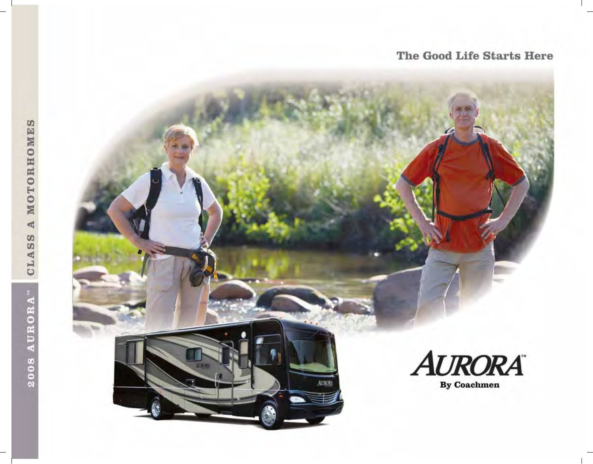ATRONA

AURORA

# 2008 AURORA" CLASS A MOTORHOMES

# The Good Life Starts Here



By Coachmen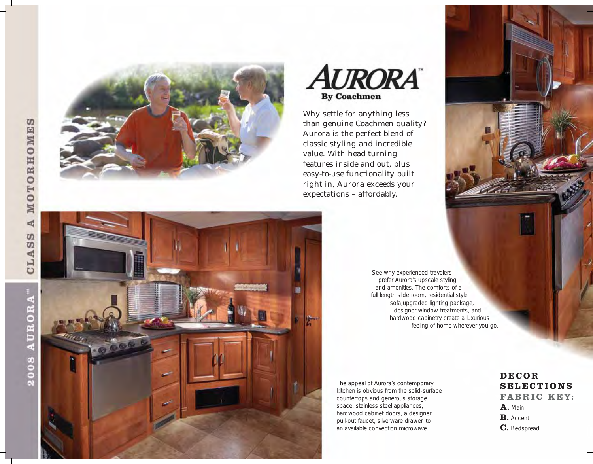**A MOTORHOMES** CLASS







Why settle for anything less than genuine Coachmen quality? Aurora is the perfect blend of classic styling and incredible value. With head turning features inside and out, plus easy-to-use functionality built right in, Aurora exceeds your expectations – affordably.

> See why experienced travelers prefer Aurora's upscale styling and amenities. The comforts of a full length slide room, residential style sofa,upgraded lighting package, designer window treatments, and hardwood cabinetry create a luxurious feeling of home wherever you go.

The appeal of Aurora's contemporary kitchen is obvious from the solid-surface countertops and generous storage space, stainless steel appliances, hardwood cabinet doors, a designer pull-out faucet, silverware drawer, to an available convection microwave.

## **DECOR SELECTIONS FABRIC KEY: A.** Main **B.** Accent **C.** Bedspread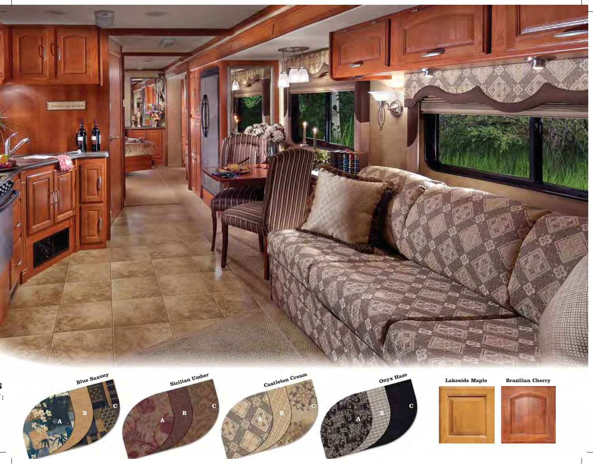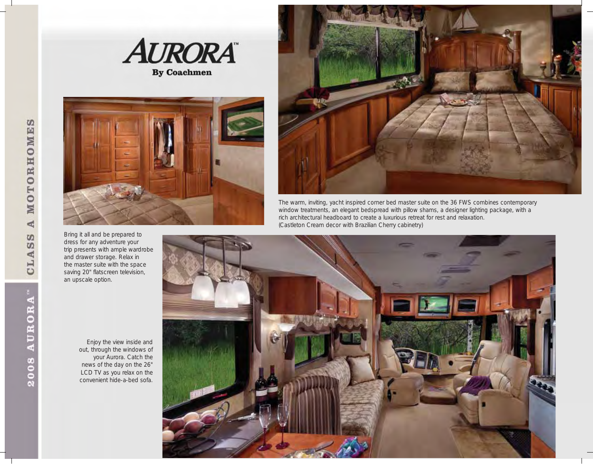





The warm, inviting, yacht inspired corner bed master suite on the 36 FWS combines contemporary window treatments, an elegant bedspread with pillow shams, a designer lighting package, with a rich architectural headboard to create a luxurious retreat for rest and relaxation. (Castleton Cream decor with Brazilian Cherry cabinetry)



Bring it all and be prepared to dress for any adventure your

and drawer storage. Relax in the master suite with the space saving 20" flatscreen television,

an upscale option.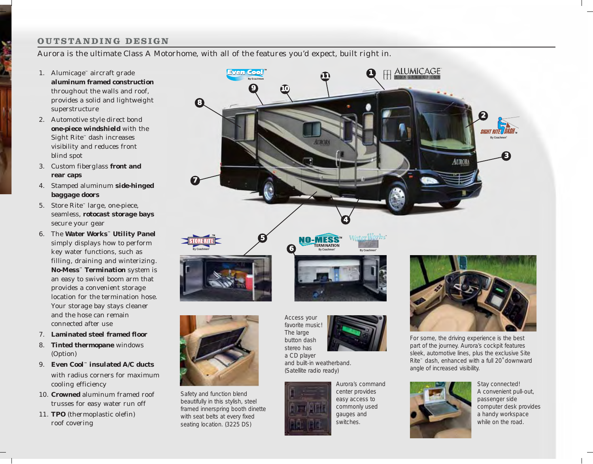### **OUTSTANDING DESIGN**

Aurora is the ultimate Class A Motorhome, with all of the features you'd expect, built right in.

- 1. Alumicage™ aircraft grade **aluminum framed construction** throughout the walls and roof, provides a solid and lightweight superstructure
- 2. Automotive style direct bond **one-piece windshield** with the Sight Rite™ dash increases visibility and reduces front blind spot
- 3. Custom fiberglass **front and rear caps**
- 4. Stamped aluminum **side-hinged baggage doors**
- 5. Store Rite™ large, one-piece, seamless, **rotocast storage bays** secure your gear
- 6. The **Water Works™ Utility Panel** simply displays how to perform key water functions, such as filling, draining and winterizing. **No-Mess™ Termination** system is an easy to swivel boom arm that provides a convenient storage location for the termination hose. Your storage bay stays cleaner and the hose can remain connected after use
- 7. **Laminated steel framed floor**
- 8. **Tinted thermopane** windows (Option)
- 9. **Even Cool™ insulated A/C ducts** with radius corners for maximum cooling efficiency
- 10. **Crowned** aluminum framed roof trusses for easy water run off
- 11. **TPO** (thermoplastic olefin) roof covering





Safety and function blend beautifully in this stylish, steel framed innerspring booth dinette with seat belts at every fixed seating location. (3225 DS)

Access your favorite music! The large button dash stereo has a CD player and built-in weatherband.



Aurora's command center provides easy access to commonly used gauges and (Satellite radio ready)

switches.



For some, the driving experience is the best part of the journey. Aurora's cockpit features sleek, automotive lines, plus the exclusive Site Rite™ dash, enhanced with a full 20˚ downward angle of increased visibility.



Stay connected! A convenient pull-out, passenger side computer desk provides a handy workspace while on the road.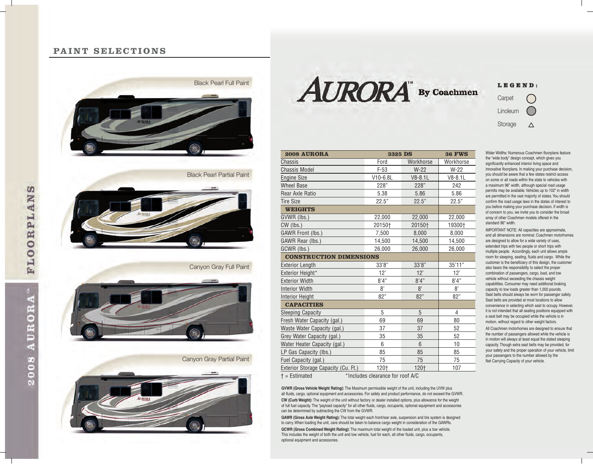### **PAINT SELECTIONS**





Canyon Gray Full Paint



Canyon Gray Partial Paint







**2008 AURORA 3325 DS 36 FWS Chassis Chassis Chassis Ford Workhorse** Workhorse Chassis Model F-53 W-22 W-22 Engine Size V10-6.8L V8-8.1L V8-8.1L Wheel Base 228" 228" 242 Rear Axle Ratio 6.38 5.38 5.86 5.86 Tire Size 22.5" 22.5" 22.5" **WEIGHTS** GVWR (lbs.) 22,000 22,000 22,000 CW (lbs.) 20150† 20150† 19300† GAWR Front (lbs.) 7.500 8.000 8.000 GAWR Rear (lbs.) 14,500 14,500 14,500 14,500 GCWR (lbs.) 26,000 26,000 26,000 **CONSTRUCTION DIMENSIONS** Exterior Length 33'8" 33'8" 35'11" Exterior Height\* 12' 12' 12' 12' Exterior Width  $8'4''$   $8'4''$   $8'4''$   $8'4''$ Interior Width  $8'$   $8'$   $8'$   $8'$   $8'$ Interior Height 82" 82" 82" 82" 82" **CAPACITIES** Sleeping Capacity **5** 5 5 4 Fresh Water Capacity (gal.) 69 69 80 Waste Water Capacity (gal.) 37 37 52 Grey Water Capacity (gal.) 35 35 35 52 Water Heater Capacity (gal.) 6 6 6 10 LP Gas Capacity (lbs.) 85 85 85 85 Fuel Capacity (gal.) 75 75 75 75 75 Exterior Storage Capacity (Cu. Ft.) 120† 120† 107

† = Estimated \*Includes clearance for roof A/C

**GVWR (Gross Vehicle Weight Rating):** The Maximum permissible weight of the unit, including the UVW plus all fluids, cargo, optional equipment and accessories. For safety and product performance, do not exceed the GVWR. **CW (Curb Weight):** The weight of the unit without factory or dealer installed options, plus allowance for the weight of full fuel capacity. The "payload capacity" for all other fluids, cargo, occupants, optional equipment and accessories can be determined by subtracting the CW from the GVWR.

**GAWR (Gross Axle Weight Rating):** The total weight each front/rear axle, suspension and tire system is designed to carry. When loading the unit, care should be taken to balance cargo weight in consideration of the GAWRs.

**GCWR (Gross Combined Weight Rating):** The maximum total weight of the loaded unit, plus a tow vehicle. This includes the weight of both the unit and tow vehicle, fuel for each, all other fluids, cargo, occupants, optional equipment and accessories.

Wider Widths: Numerous Coachmen floorplans feature the "wide body" design concept, which gives you significantly enhanced interior living space and innovative floorplans. In making your purchase decision, you should be aware that a few states restrict access on some or all roads within the state to vehicles with a maximum 96" width, although special road usage permits may be available. Vehicles up to 102" in width are permitted in the vast majority of states. You should confirm the road usage laws in the states of interest to you before making your purchase decision. If width is of concern to you, we invite you to consider the broad array of other Coachmen models offered in the standard 96" width.

IMPORTANT NOTE: All capacities are approximate, and all dimensions are nominal. Coachmen motorhomes are designed to allow for a wide variety of uses. extended trips with two people or short trips with multiple people. Accordingly, each unit allows ample room for sleeping, seating, fluids and cargo. While the customer is the beneficiary of this design, the customer also bears the responsibility to select the proper combination of passengers, cargo, load, and tow vehicle without exceeding the chassis weight capabilities. Consumer may need additional braking capacity to tow loads greater than 1,000 pounds. Seat belts should always be worn for passenger safety. Seat belts are provided at most locations to allow convenience in selecting which seat to occupy. However, it is not intended that all seating positions equipped with a seat belt may be occupied while the vehicle is in motion, without regard to other weight factors.

All Coachmen motorhomes are designed to ensure that the number of passengers allowed while the vehicle is in motion will always at least equal the stated sleeping capacity. Though extra seat belts may be provided, for your safety and the proper operation of your vehicle, limit your passengers to the number allowed by the Net Carrying Capacity of your vehicle.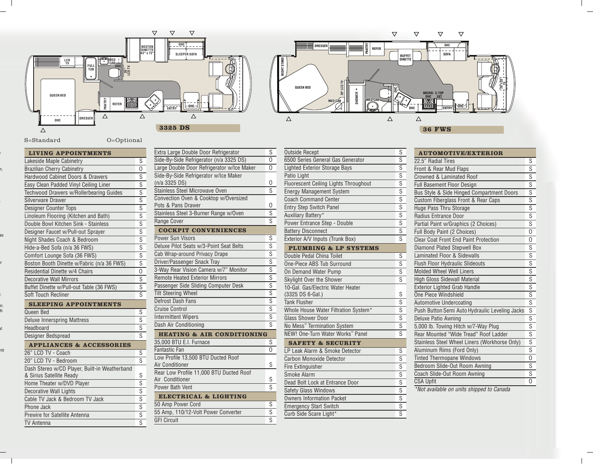

| LIVING APPOINTMENTS                           |                         |
|-----------------------------------------------|-------------------------|
| Lakeside Maple Cabinetry                      | S                       |
| <b>Brazilian Cherry Cabinetry</b>             | 0                       |
| Hardwood Cabinet Doors & Drawers              | S                       |
| Easy Clean Padded Vinyl Ceiling Liner         | S                       |
| Techwood Drawers w/Rollerbearing Guides       | $\overline{s}$          |
| Silverware Drawer                             | $\overline{s}$          |
| Designer Counter Tops                         | $\overline{s}$          |
| Linoleum Flooring (Kitchen and Bath)          | $\overline{s}$          |
| Double Bowl Kitchen Sink - Stainless          | $\overline{s}$          |
| Designer Faucet w/Pull-out Sprayer            | $\overline{s}$          |
| Night Shades Coach & Bedroom                  | $\overline{s}$          |
| Hide-a-Bed Sofa (n/a 36 FWS)                  | $\overline{s}$          |
| Comfort Lounge Sofa (36 FWS)                  | $\overline{s}$          |
| Boston Booth Dinette w/Fabric (n/a 36 FWS)    | $\overline{s}$          |
| Residential Dinette w/4 Chairs                | 0                       |
| <b>Decorative Wall Mirrors</b>                | S                       |
| Buffet Dinette w/Pull-out Table (36 FWS)      | $\overline{s}$          |
| Soft Touch Recliner                           | S                       |
| <b>SLEEPING APPOINTMENTS</b>                  |                         |
| Queen Bed                                     | S                       |
| <b>Deluxe Innerspring Mattress</b>            | $\overline{s}$          |
| Headboard                                     | $\overline{s}$          |
| Designer Bedspread                            | $\overline{s}$          |
| <b>APPLIANCES &amp; ACCESSORIES</b>           |                         |
| 26" LCD TV - Coach                            | S                       |
| 20" LCD TV - Bedroom                          | S                       |
| Dash Stereo w/CD Player, Built-in Weatherband |                         |
| & Sirius Satellite Ready                      | S                       |
| Home Theater w/DVD Player                     | $\overline{s}$          |
| <b>Decorative Wall Lights</b>                 | $\overline{s}$          |
| Cable TV Jack & Bedroom TV Jack               | $\overline{\mathsf{s}}$ |
| Phone Jack                                    | $\overline{s}$          |
| Prewire for Satellite Antenna                 | $\overline{s}$          |

TV Antenna S

| Extra Large Double Door Refrigerator                   | S                       |
|--------------------------------------------------------|-------------------------|
| Side-By-Side Refrigerator (n/a 3325 DS)                | 0                       |
| Large Double Door Refrigerator w/Ice Maker             | 0                       |
| Side-By-Side Refrigerator w/Ice Maker<br>(n/a 3325 DS) | 0                       |
| <b>Stainless Steel Microwave Oven</b>                  | $\overline{s}$          |
| Convection Oven & Cooktop w/Oversized                  |                         |
| Pots & Pans Drawer                                     | 0                       |
| Stainless Steel 3-Burner Range w/Oven                  | $\overline{\mathsf{s}}$ |
| Range Cover                                            | $\overline{s}$          |
| <b>COCKPIT CONVENIENCES</b>                            |                         |
| <b>Power Sun Visors</b>                                | S                       |
| Deluxe Pilot Seats w/3-Point Seat Belts                | Ŝ                       |
| Cab Wrap-around Privacy Drape                          | $\overline{s}$          |
| Driver/Passenger Snack Tray                            | $\overline{s}$          |
| 3-Way Rear Vision Camera w/7" Monitor                  | $\overline{s}$          |
| <b>Remote Heated Exterior Mirrors</b>                  | $\overline{s}$          |
| Passenger Side Sliding Computer Desk                   | $\overline{s}$          |
| <b>Tilt Steering Wheel</b>                             | $\overline{s}$          |
| Defrost Dash Fans                                      | $\overline{s}$          |
| <b>Cruise Control</b>                                  | $\overline{s}$          |
| <b>Intermittent Wipers</b>                             | $\overline{s}$          |
| Dash Air Conditioning                                  | $\overline{s}$          |
| <b>HEATING &amp; AIR CONDITIONING</b>                  |                         |
| 35,000 BTU E.I. Furnace                                | S                       |
| <b>Fantastic Fan</b>                                   | 0                       |
| Low Profile 13,500 BTU Ducted Roof                     |                         |
| <b>Air Conditioner</b>                                 | S                       |
| Rear Low Profile 11,000 BTU Ducted Roof                |                         |
| Air Conditioner                                        | S                       |
| Power Bath Vent                                        | S                       |
| <b>ELECTRICAL &amp; LIGHTING</b>                       |                         |
| 50 Amp Power Cord                                      | S                       |
| 55 Amp, 110/12-Volt Power Converter                    | $\overline{s}$          |
| <b>GFI Circuit</b>                                     | $\overline{s}$          |

| <b>Outside Recept</b>                        | S                       |
|----------------------------------------------|-------------------------|
| 6500 Series General Gas Generator            | S                       |
| Lighted Exterior Storage Bays                | S                       |
| Patio Light                                  | $\overline{s}$          |
| Fluorescent Ceiling Lights Throughout        | $\overline{s}$          |
| <b>Energy Management System</b>              | $\overline{\mathsf{s}}$ |
| <b>Coach Command Center</b>                  | $\overline{s}$          |
| <b>Entry Step Switch Panel</b>               | $\overline{s}$          |
| Auxiliary Battery*                           | $\overline{s}$          |
| Power Entrance Step - Double                 | $\overline{s}$          |
| <b>Battery Disconnect</b>                    | $\overline{s}$          |
| Exterior A/V Inputs (Trunk Box)              | $\overline{s}$          |
| <b>PLUMBING &amp; LP SYSTEMS</b>             |                         |
| Double Pedal China Toilet                    | S                       |
| One-Piece ABS Tub Surround                   | $\overline{s}$          |
| On Demand Water Pump                         | $\overline{s}$          |
| Skylight Over the Shower                     | S                       |
| 10-Gal. Gas/Electric Water Heater            |                         |
| (3325 DS 6-Gal.)                             | S                       |
| <b>Tank Flusher</b>                          | $\overline{s}$          |
| Whole House Water Filtration System*         | $\overline{s}$          |
| <b>Glass Shower Door</b>                     | $\overline{s}$          |
| No Mess <sup>™</sup> Termination System      | $\overline{s}$          |
| NEW! One-Turn Water Works <sup>*</sup> Panel | $\overline{s}$          |
| <b>SAFETY &amp; SECURITY</b>                 |                         |
| LP Leak Alarm & Smoke Detector               | S                       |
| <b>Carbon Monoxide Detector</b>              | $\overline{s}$          |
| Fire Extinguisher                            | $\overline{s}$          |
| Smoke Alarm                                  | Ŝ                       |
| Dead Bolt Lock at Entrance Door              | $\overline{s}$          |
| <b>Safety Glass Windows</b>                  | $\overline{s}$          |
| <b>Owners Information Packet</b>             | $\overline{s}$          |
| <b>Emergency Start Switch</b>                | $\overline{s}$          |
| Curb Side Scare Light*                       | S                       |

| <b>AUTOMOTIVE/EXTERIOR</b>                     |                           |
|------------------------------------------------|---------------------------|
| 22.5" Radial Tires                             | S                         |
| Front & Rear Mud Flaps                         | S                         |
| Crowned & Laminated Roof                       | $\overline{s}$            |
| <b>Full Basement Floor Design</b>              | $\overline{s}$            |
| Bus Style & Side Hinged Compartment Doors      | $rac{\text{S}}{\text{S}}$ |
| Custom Fiberglass Front & Rear Caps            |                           |
| Huge Pass Thru Storage                         |                           |
| <b>Radius Entrance Door</b>                    |                           |
| Partial Paint w/Graphics (2 Choices)           | $\overline{s}$            |
| Full Body Paint (2 Choices)                    | 0                         |
| <b>Clear Coat Front End Paint Protection</b>   | 0                         |
| Diamond Plated Stepwell Box                    | $\overline{s}$            |
| Laminated Floor & Sidewalls                    | $rac{S}{S}$               |
| Flush Floor Hydraulic Slideouts                |                           |
| <b>Molded Wheel Well Liners</b>                | $\frac{8}{5}$             |
| <b>High Gloss Sidewall Material</b>            | $\overline{s}$            |
| <b>Exterior Lighted Grab Handle</b>            | $rac{1}{s}$               |
| One Piece Windshield                           |                           |
| <b>Automotive Undercoating</b>                 | $\overline{\mathsf{s}}$   |
| Push Button Semi Auto Hydraulic Leveling Jacks | $\frac{1}{\mathsf{S}}$    |
| <b>Deluxe Patio Awning</b>                     | $\overline{s}$            |
| 5,000 lb. Towing Hitch w/7-Way Plug            |                           |
| Rear Mounted "Wide Tread" Roof Ladder          |                           |
| Stainless Steel Wheel Liners (Workhorse Only)  | $rac{\text{S}}{\text{S}}$ |
| Aluminum Rims (Ford Only)                      |                           |
| <b>Tinted Thermopane Windows</b>               | $\overline{0}$            |
| Bedroom Slide-Out Room Awning                  | $\overline{s}$            |
| Coach Slide-Out Room Awning                    | $\overline{s}$            |
| <b>CSA Upfit</b>                               | $\overline{O}$            |
| $*block$ cucileble an unite objaced to Conada  |                           |

\*Not available on units shipped to Canada